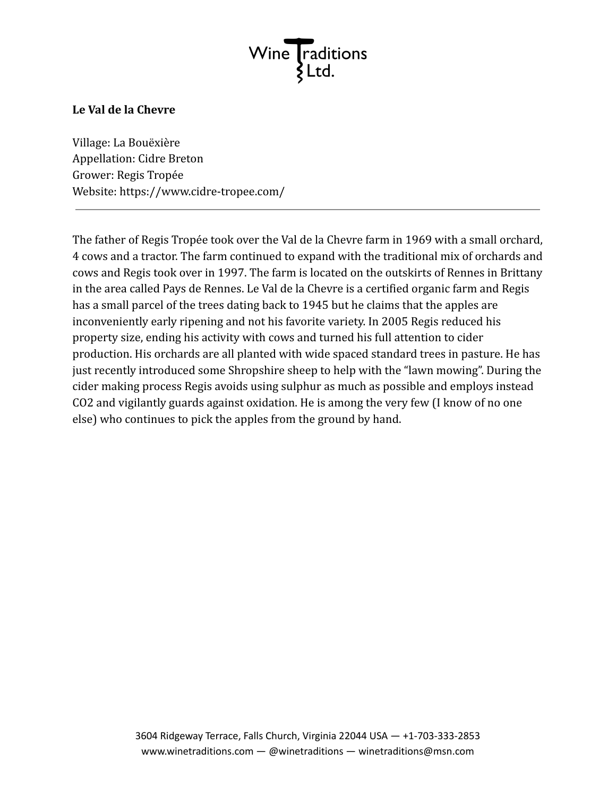

## **Le Val de la Chevre**

Village: La Bouëxière Appellation: Cidre Breton Grower: Regis Tropée Website: https://www.cidre-tropee.com/

The father of Regis Tropée took over the Val de la Chevre farm in 1969 with a small orchard, 4 cows and a tractor. The farm continued to expand with the traditional mix of orchards and cows and Regis took over in 1997. The farm is located on the outskirts of Rennes in Brittany in the area called Pays de Rennes. Le Val de la Chevre is a certified organic farm and Regis has a small parcel of the trees dating back to 1945 but he claims that the apples are inconveniently early ripening and not his favorite variety. In 2005 Regis reduced his property size, ending his activity with cows and turned his full attention to cider production. His orchards are all planted with wide spaced standard trees in pasture. He has just recently introduced some Shropshire sheep to help with the "lawn mowing". During the cider making process Regis avoids using sulphur as much as possible and employs instead CO2 and vigilantly guards against oxidation. He is among the very few (I know of no one else) who continues to pick the apples from the ground by hand.